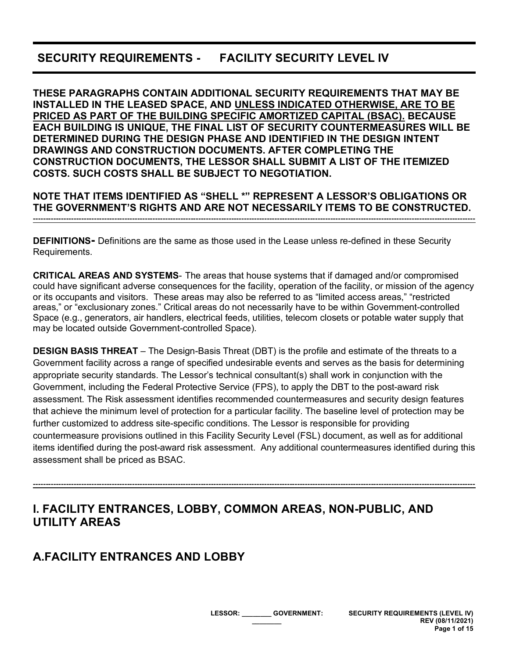# **SECURITY REQUIREMENTS - FACILITY SECURITY LEVEL IV**

**THESE PARAGRAPHS CONTAIN ADDITIONAL SECURITY REQUIREMENTS THAT MAY BE INSTALLED IN THE LEASED SPACE, AND UNLESS INDICATED OTHERWISE, ARE TO BE PRICED AS PART OF THE BUILDING SPECIFIC AMORTIZED CAPITAL (BSAC). BECAUSE EACH BUILDING IS UNIQUE, THE FINAL LIST OF SECURITY COUNTERMEASURES WILL BE DETERMINED DURING THE DESIGN PHASE AND IDENTIFIED IN THE DESIGN INTENT DRAWINGS AND CONSTRUCTION DOCUMENTS. AFTER COMPLETING THE CONSTRUCTION DOCUMENTS, THE LESSOR SHALL SUBMIT A LIST OF THE ITEMIZED COSTS. SUCH COSTS SHALL BE SUBJECT TO NEGOTIATION.**

**NOTE THAT ITEMS IDENTIFIED AS "SHELL \*" REPRESENT A LESSOR'S OBLIGATIONS OR THE GOVERNMENT'S RIGHTS AND ARE NOT NECESSARILY ITEMS TO BE CONSTRUCTED. ------------------------------------------------------------------------------------------------------------------------------------------------------------------------------**

**DEFINITIONS-** Definitions are the same as those used in the Lease unless re-defined in these Security Requirements.

**CRITICAL AREAS AND SYSTEMS**- The areas that house systems that if damaged and/or compromised could have significant adverse consequences for the facility, operation of the facility, or mission of the agency or its occupants and visitors. These areas may also be referred to as "limited access areas," "restricted areas," or "exclusionary zones." Critical areas do not necessarily have to be within Government-controlled Space (e.g., generators, air handlers, electrical feeds, utilities, telecom closets or potable water supply that may be located outside Government-controlled Space).

**DESIGN BASIS THREAT** – The Design-Basis Threat (DBT) is the profile and estimate of the threats to a Government facility across a range of specified undesirable events and serves as the basis for determining appropriate security standards. The Lessor's technical consultant(s) shall work in conjunction with the Government, including the Federal Protective Service (FPS), to apply the DBT to the post-award risk assessment. The Risk assessment identifies recommended countermeasures and security design features that achieve the minimum level of protection for a particular facility. The baseline level of protection may be further customized to address site-specific conditions. The Lessor is responsible for providing countermeasure provisions outlined in this Facility Security Level (FSL) document, as well as for additional items identified during the post-award risk assessment. Any additional countermeasures identified during this assessment shall be priced as BSAC.

**------------------------------------------------------------------------------------------------------------------------------------------------------------------------------**

# **I. FACILITY ENTRANCES, LOBBY, COMMON AREAS, NON-PUBLIC, AND UTILITY AREAS**

# **A.FACILITY ENTRANCES AND LOBBY**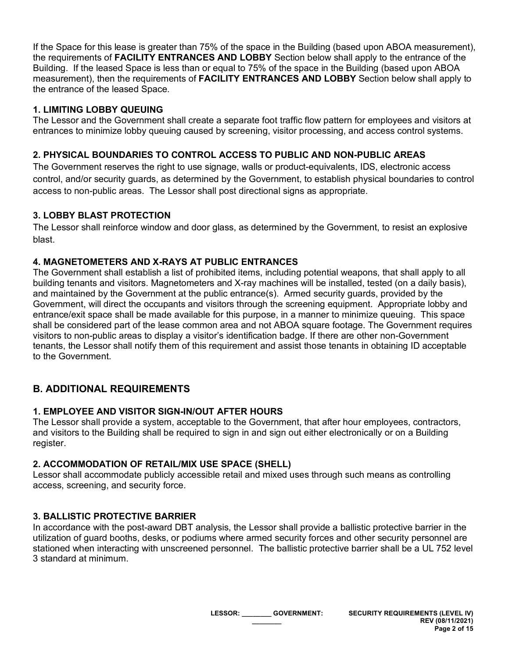If the Space for this lease is greater than 75% of the space in the Building (based upon ABOA measurement), the requirements of **FACILITY ENTRANCES AND LOBBY** Section below shall apply to the entrance of the Building. If the leased Space is less than or equal to 75% of the space in the Building (based upon ABOA measurement), then the requirements of **FACILITY ENTRANCES AND LOBBY** Section below shall apply to the entrance of the leased Space.

## **1. LIMITING LOBBY QUEUING**

The Lessor and the Government shall create a separate foot traffic flow pattern for employees and visitors at entrances to minimize lobby queuing caused by screening, visitor processing, and access control systems.

#### **2. PHYSICAL BOUNDARIES TO CONTROL ACCESS TO PUBLIC AND NON-PUBLIC AREAS**

The Government reserves the right to use signage, walls or product-equivalents, IDS, electronic access control, and/or security guards, as determined by the Government, to establish physical boundaries to control access to non-public areas. The Lessor shall post directional signs as appropriate.

#### **3. LOBBY BLAST PROTECTION**

The Lessor shall reinforce window and door glass, as determined by the Government, to resist an explosive blast.

#### **4. MAGNETOMETERS AND X-RAYS AT PUBLIC ENTRANCES**

The Government shall establish a list of prohibited items, including potential weapons, that shall apply to all building tenants and visitors. Magnetometers and X-ray machines will be installed, tested (on a daily basis), and maintained by the Government at the public entrance(s). Armed security guards, provided by the Government, will direct the occupants and visitors through the screening equipment. Appropriate lobby and entrance/exit space shall be made available for this purpose, in a manner to minimize queuing. This space shall be considered part of the lease common area and not ABOA square footage. The Government requires visitors to non-public areas to display a visitor's identification badge. If there are other non-Government tenants, the Lessor shall notify them of this requirement and assist those tenants in obtaining ID acceptable to the Government.

# **B. ADDITIONAL REQUIREMENTS**

# **1. EMPLOYEE AND VISITOR SIGN-IN/OUT AFTER HOURS**

The Lessor shall provide a system, acceptable to the Government, that after hour employees, contractors, and visitors to the Building shall be required to sign in and sign out either electronically or on a Building register.

# **2. ACCOMMODATION OF RETAIL/MIX USE SPACE (SHELL)**

Lessor shall accommodate publicly accessible retail and mixed uses through such means as controlling access, screening, and security force.

# **3. BALLISTIC PROTECTIVE BARRIER**

In accordance with the post-award DBT analysis, the Lessor shall provide a ballistic protective barrier in the utilization of guard booths, desks, or podiums where armed security forces and other security personnel are stationed when interacting with unscreened personnel. The ballistic protective barrier shall be a UL 752 level 3 standard at minimum.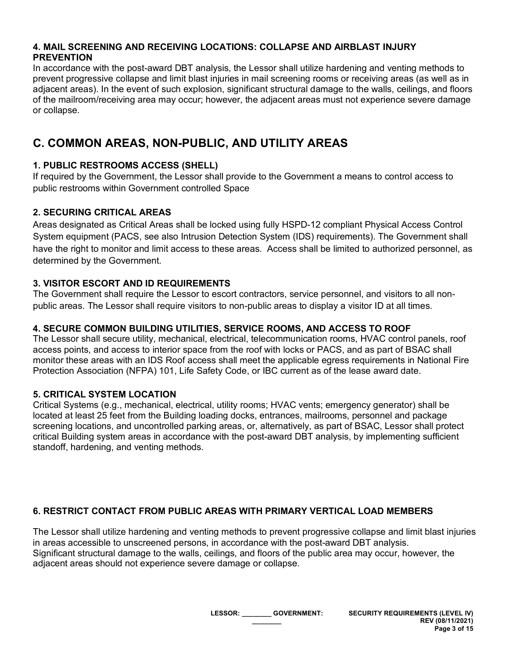#### **4. MAIL SCREENING AND RECEIVING LOCATIONS: COLLAPSE AND AIRBLAST INJURY PREVENTION**

In accordance with the post-award DBT analysis, the Lessor shall utilize hardening and venting methods to prevent progressive collapse and limit blast injuries in mail screening rooms or receiving areas (as well as in adjacent areas). In the event of such explosion, significant structural damage to the walls, ceilings, and floors of the mailroom/receiving area may occur; however, the adjacent areas must not experience severe damage or collapse.

# **C. COMMON AREAS, NON-PUBLIC, AND UTILITY AREAS**

# **1. PUBLIC RESTROOMS ACCESS (SHELL)**

If required by the Government, the Lessor shall provide to the Government a means to control access to public restrooms within Government controlled Space

# **2. SECURING CRITICAL AREAS**

Areas designated as Critical Areas shall be locked using fully HSPD-12 compliant Physical Access Control System equipment (PACS, see also Intrusion Detection System (IDS) requirements). The Government shall have the right to monitor and limit access to these areas. Access shall be limited to authorized personnel, as determined by the Government.

# **3. VISITOR ESCORT AND ID REQUIREMENTS**

The Government shall require the Lessor to escort contractors, service personnel, and visitors to all nonpublic areas. The Lessor shall require visitors to non-public areas to display a visitor ID at all times.

# **4. SECURE COMMON BUILDING UTILITIES, SERVICE ROOMS, AND ACCESS TO ROOF**

The Lessor shall secure utility, mechanical, electrical, telecommunication rooms, HVAC control panels, roof access points, and access to interior space from the roof with locks or PACS, and as part of BSAC shall monitor these areas with an IDS Roof access shall meet the applicable egress requirements in National Fire Protection Association (NFPA) 101, Life Safety Code, or IBC current as of the lease award date.

# **5. CRITICAL SYSTEM LOCATION**

Critical Systems (e.g., mechanical, electrical, utility rooms; HVAC vents; emergency generator) shall be located at least 25 feet from the Building loading docks, entrances, mailrooms, personnel and package screening locations, and uncontrolled parking areas, or, alternatively, as part of BSAC, Lessor shall protect critical Building system areas in accordance with the post-award DBT analysis, by implementing sufficient standoff, hardening, and venting methods.

# **6. RESTRICT CONTACT FROM PUBLIC AREAS WITH PRIMARY VERTICAL LOAD MEMBERS**

The Lessor shall utilize hardening and venting methods to prevent progressive collapse and limit blast injuries in areas accessible to unscreened persons, in accordance with the post-award DBT analysis. Significant structural damage to the walls, ceilings, and floors of the public area may occur, however, the adjacent areas should not experience severe damage or collapse.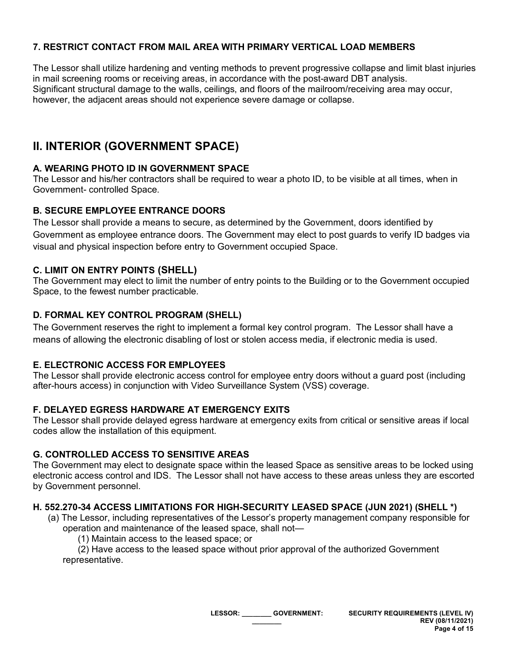## **7. RESTRICT CONTACT FROM MAIL AREA WITH PRIMARY VERTICAL LOAD MEMBERS**

The Lessor shall utilize hardening and venting methods to prevent progressive collapse and limit blast injuries in mail screening rooms or receiving areas, in accordance with the post-award DBT analysis. Significant structural damage to the walls, ceilings, and floors of the mailroom/receiving area may occur, however, the adjacent areas should not experience severe damage or collapse.

# **II. INTERIOR (GOVERNMENT SPACE)**

## **A. WEARING PHOTO ID IN GOVERNMENT SPACE**

The Lessor and his/her contractors shall be required to wear a photo ID, to be visible at all times, when in Government- controlled Space.

#### **B. SECURE EMPLOYEE ENTRANCE DOORS**

The Lessor shall provide a means to secure, as determined by the Government, doors identified by Government as employee entrance doors. The Government may elect to post guards to verify ID badges via visual and physical inspection before entry to Government occupied Space.

#### **C. LIMIT ON ENTRY POINTS (SHELL)**

The Government may elect to limit the number of entry points to the Building or to the Government occupied Space, to the fewest number practicable.

#### **D. FORMAL KEY CONTROL PROGRAM (SHELL)**

The Government reserves the right to implement a formal key control program. The Lessor shall have a means of allowing the electronic disabling of lost or stolen access media, if electronic media is used.

#### **E. ELECTRONIC ACCESS FOR EMPLOYEES**

The Lessor shall provide electronic access control for employee entry doors without a guard post (including after-hours access) in conjunction with Video Surveillance System (VSS) coverage.

#### **F. DELAYED EGRESS HARDWARE AT EMERGENCY EXITS**

The Lessor shall provide delayed egress hardware at emergency exits from critical or sensitive areas if local codes allow the installation of this equipment.

#### **G. CONTROLLED ACCESS TO SENSITIVE AREAS**

The Government may elect to designate space within the leased Space as sensitive areas to be locked using electronic access control and IDS. The Lessor shall not have access to these areas unless they are escorted by Government personnel.

#### **H. 552.270-34 ACCESS LIMITATIONS FOR HIGH-SECURITY LEASED SPACE (JUN 2021) (SHELL \*)**

- (a) The Lessor, including representatives of the Lessor's property management company responsible for operation and maintenance of the leased space, shall not—
	- (1) Maintain access to the leased space; or

(2) Have access to the leased space without prior approval of the authorized Government representative.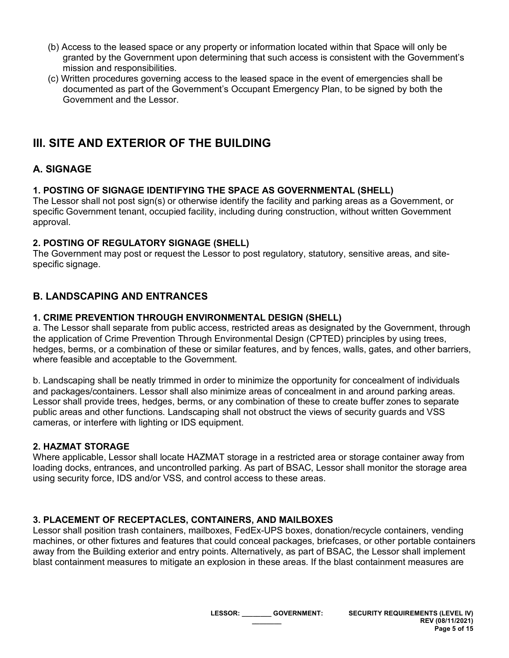- (b) Access to the leased space or any property or information located within that Space will only be granted by the Government upon determining that such access is consistent with the Government's mission and responsibilities.
- (c) Written procedures governing access to the leased space in the event of emergencies shall be documented as part of the Government's Occupant Emergency Plan, to be signed by both the Government and the Lessor.

# **III. SITE AND EXTERIOR OF THE BUILDING**

# **A. SIGNAGE**

## **1. POSTING OF SIGNAGE IDENTIFYING THE SPACE AS GOVERNMENTAL (SHELL)**

The Lessor shall not post sign(s) or otherwise identify the facility and parking areas as a Government, or specific Government tenant, occupied facility, including during construction, without written Government approval.

## **2. POSTING OF REGULATORY SIGNAGE (SHELL)**

The Government may post or request the Lessor to post regulatory, statutory, sensitive areas, and sitespecific signage.

# **B. LANDSCAPING AND ENTRANCES**

## **1. CRIME PREVENTION THROUGH ENVIRONMENTAL DESIGN (SHELL)**

a. The Lessor shall separate from public access, restricted areas as designated by the Government, through the application of Crime Prevention Through Environmental Design (CPTED) principles by using trees, hedges, berms, or a combination of these or similar features, and by fences, walls, gates, and other barriers, where feasible and acceptable to the Government.

b. Landscaping shall be neatly trimmed in order to minimize the opportunity for concealment of individuals and packages/containers. Lessor shall also minimize areas of concealment in and around parking areas. Lessor shall provide trees, hedges, berms, or any combination of these to create buffer zones to separate public areas and other functions. Landscaping shall not obstruct the views of security guards and VSS cameras, or interfere with lighting or IDS equipment.

## **2. HAZMAT STORAGE**

Where applicable, Lessor shall locate HAZMAT storage in a restricted area or storage container away from loading docks, entrances, and uncontrolled parking. As part of BSAC, Lessor shall monitor the storage area using security force, IDS and/or VSS, and control access to these areas.

## **3. PLACEMENT OF RECEPTACLES, CONTAINERS, AND MAILBOXES**

Lessor shall position trash containers, mailboxes, FedEx-UPS boxes, donation/recycle containers, vending machines, or other fixtures and features that could conceal packages, briefcases, or other portable containers away from the Building exterior and entry points. Alternatively, as part of BSAC, the Lessor shall implement blast containment measures to mitigate an explosion in these areas. If the blast containment measures are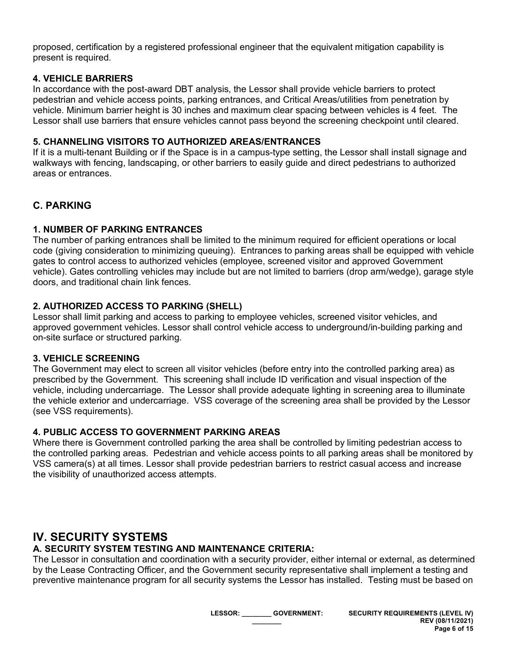proposed, certification by a registered professional engineer that the equivalent mitigation capability is present is required.

#### **4. VEHICLE BARRIERS**

In accordance with the post-award DBT analysis, the Lessor shall provide vehicle barriers to protect pedestrian and vehicle access points, parking entrances, and Critical Areas/utilities from penetration by vehicle. Minimum barrier height is 30 inches and maximum clear spacing between vehicles is 4 feet. The Lessor shall use barriers that ensure vehicles cannot pass beyond the screening checkpoint until cleared.

#### **5. CHANNELING VISITORS TO AUTHORIZED AREAS/ENTRANCES**

If it is a multi-tenant Building or if the Space is in a campus-type setting, the Lessor shall install signage and walkways with fencing, landscaping, or other barriers to easily guide and direct pedestrians to authorized areas or entrances.

# **C. PARKING**

## **1. NUMBER OF PARKING ENTRANCES**

The number of parking entrances shall be limited to the minimum required for efficient operations or local code (giving consideration to minimizing queuing). Entrances to parking areas shall be equipped with vehicle gates to control access to authorized vehicles (employee, screened visitor and approved Government vehicle). Gates controlling vehicles may include but are not limited to barriers (drop arm/wedge), garage style doors, and traditional chain link fences.

## **2. AUTHORIZED ACCESS TO PARKING (SHELL)**

Lessor shall limit parking and access to parking to employee vehicles, screened visitor vehicles, and approved government vehicles. Lessor shall control vehicle access to underground/in-building parking and on-site surface or structured parking.

#### **3. VEHICLE SCREENING**

The Government may elect to screen all visitor vehicles (before entry into the controlled parking area) as prescribed by the Government. This screening shall include ID verification and visual inspection of the vehicle, including undercarriage. The Lessor shall provide adequate lighting in screening area to illuminate the vehicle exterior and undercarriage. VSS coverage of the screening area shall be provided by the Lessor (see VSS requirements).

## **4. PUBLIC ACCESS TO GOVERNMENT PARKING AREAS**

Where there is Government controlled parking the area shall be controlled by limiting pedestrian access to the controlled parking areas. Pedestrian and vehicle access points to all parking areas shall be monitored by VSS camera(s) at all times. Lessor shall provide pedestrian barriers to restrict casual access and increase the visibility of unauthorized access attempts.

# **IV. SECURITY SYSTEMS**

## **A. SECURITY SYSTEM TESTING AND MAINTENANCE CRITERIA:**

The Lessor in consultation and coordination with a security provider, either internal or external, as determined by the Lease Contracting Officer, and the Government security representative shall implement a testing and preventive maintenance program for all security systems the Lessor has installed. Testing must be based on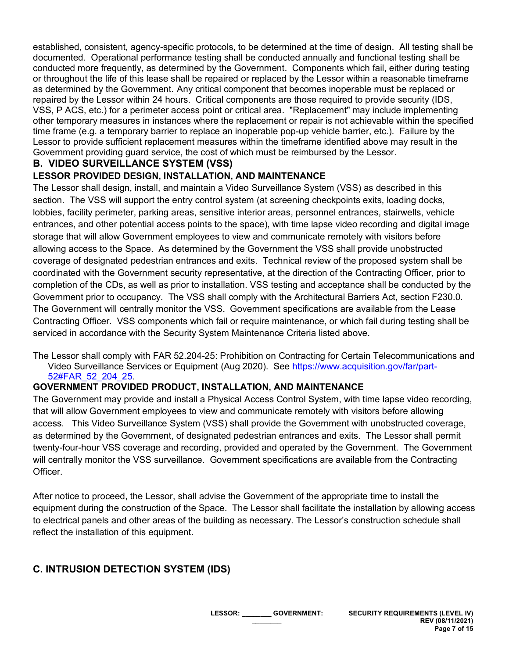established, consistent, agency-specific protocols, to be determined at the time of design. All testing shall be documented. Operational performance testing shall be conducted annually and functional testing shall be conducted more frequently, as determined by the Government. Components which fail, either during testing or throughout the life of this lease shall be repaired or replaced by the Lessor within a reasonable timeframe as determined by the Government. Any critical component that becomes inoperable must be replaced or repaired by the Lessor within 24 hours. Critical components are those required to provide security (IDS, VSS, P ACS, etc.) for a perimeter access point or critical area. "Replacement" may include implementing other temporary measures in instances where the replacement or repair is not achievable within the specified time frame (e.g. a temporary barrier to replace an inoperable pop-up vehicle barrier, etc.). Failure by the Lessor to provide sufficient replacement measures within the timeframe identified above may result in the Government providing guard service, the cost of which must be reimbursed by the Lessor.

# **B. VIDEO SURVEILLANCE SYSTEM (VSS)**

## **LESSOR PROVIDED DESIGN, INSTALLATION, AND MAINTENANCE**

The Lessor shall design, install, and maintain a Video Surveillance System (VSS) as described in this section. The VSS will support the entry control system (at screening checkpoints exits, loading docks, lobbies, facility perimeter, parking areas, sensitive interior areas, personnel entrances, stairwells, vehicle entrances, and other potential access points to the space), with time lapse video recording and digital image storage that will allow Government employees to view and communicate remotely with visitors before allowing access to the Space. As determined by the Government the VSS shall provide unobstructed coverage of designated pedestrian entrances and exits. Technical review of the proposed system shall be coordinated with the Government security representative, at the direction of the Contracting Officer, prior to completion of the CDs, as well as prior to installation. VSS testing and acceptance shall be conducted by the Government prior to occupancy. The VSS shall comply with the Architectural Barriers Act, section F230.0. The Government will centrally monitor the VSS. Government specifications are available from the Lease Contracting Officer. VSS components which fail or require maintenance, or which fail during testing shall be serviced in accordance with the Security System Maintenance Criteria listed above.

The Lessor shall comply with FAR 52.204-25: Prohibition on Contracting for Certain Telecommunications and Video Surveillance Services or Equipment (Aug 2020). See [https://www.acquisition.gov/far/part-](https://www.acquisition.gov/far/part-52#FAR_52_204_25)[52#FAR\\_52\\_204\\_25.](https://www.acquisition.gov/far/part-52#FAR_52_204_25)

## **GOVERNMENT PROVIDED PRODUCT, INSTALLATION, AND MAINTENANCE**

The Government may provide and install a Physical Access Control System, with time lapse video recording, that will allow Government employees to view and communicate remotely with visitors before allowing access. This Video Surveillance System (VSS) shall provide the Government with unobstructed coverage, as determined by the Government, of designated pedestrian entrances and exits. The Lessor shall permit twenty-four-hour VSS coverage and recording, provided and operated by the Government. The Government will centrally monitor the VSS surveillance. Government specifications are available from the Contracting Officer.

After notice to proceed, the Lessor, shall advise the Government of the appropriate time to install the equipment during the construction of the Space. The Lessor shall facilitate the installation by allowing access to electrical panels and other areas of the building as necessary. The Lessor's construction schedule shall reflect the installation of this equipment.

# **C. INTRUSION DETECTION SYSTEM (IDS)**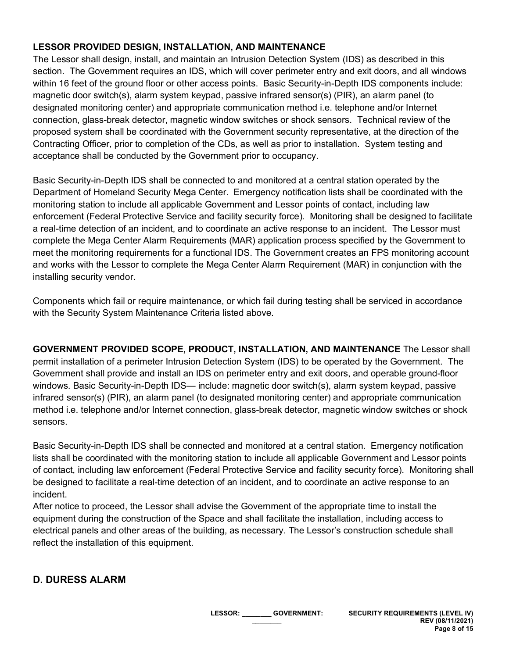## **LESSOR PROVIDED DESIGN, INSTALLATION, AND MAINTENANCE**

The Lessor shall design, install, and maintain an Intrusion Detection System (IDS) as described in this section. The Government requires an IDS, which will cover perimeter entry and exit doors, and all windows within 16 feet of the ground floor or other access points. Basic Security-in-Depth IDS components include: magnetic door switch(s), alarm system keypad, passive infrared sensor(s) (PIR), an alarm panel (to designated monitoring center) and appropriate communication method i.e. telephone and/or Internet connection, glass-break detector, magnetic window switches or shock sensors. Technical review of the proposed system shall be coordinated with the Government security representative, at the direction of the Contracting Officer, prior to completion of the CDs, as well as prior to installation. System testing and acceptance shall be conducted by the Government prior to occupancy.

Basic Security-in-Depth IDS shall be connected to and monitored at a central station operated by the Department of Homeland Security Mega Center. Emergency notification lists shall be coordinated with the monitoring station to include all applicable Government and Lessor points of contact, including law enforcement (Federal Protective Service and facility security force). Monitoring shall be designed to facilitate a real-time detection of an incident, and to coordinate an active response to an incident. The Lessor must complete the Mega Center Alarm Requirements (MAR) application process specified by the Government to meet the monitoring requirements for a functional IDS. The Government creates an FPS monitoring account and works with the Lessor to complete the Mega Center Alarm Requirement (MAR) in conjunction with the installing security vendor.

Components which fail or require maintenance, or which fail during testing shall be serviced in accordance with the Security System Maintenance Criteria listed above.

**GOVERNMENT PROVIDED SCOPE, PRODUCT, INSTALLATION, AND MAINTENANCE** The Lessor shall permit installation of a perimeter Intrusion Detection System (IDS) to be operated by the Government. The Government shall provide and install an IDS on perimeter entry and exit doors, and operable ground-floor windows. Basic Security-in-Depth IDS— include: magnetic door switch(s), alarm system keypad, passive infrared sensor(s) (PIR), an alarm panel (to designated monitoring center) and appropriate communication method i.e. telephone and/or Internet connection, glass-break detector, magnetic window switches or shock sensors.

Basic Security-in-Depth IDS shall be connected and monitored at a central station. Emergency notification lists shall be coordinated with the monitoring station to include all applicable Government and Lessor points of contact, including law enforcement (Federal Protective Service and facility security force). Monitoring shall be designed to facilitate a real-time detection of an incident, and to coordinate an active response to an incident.

After notice to proceed, the Lessor shall advise the Government of the appropriate time to install the equipment during the construction of the Space and shall facilitate the installation, including access to electrical panels and other areas of the building, as necessary. The Lessor's construction schedule shall reflect the installation of this equipment.

# **D. DURESS ALARM**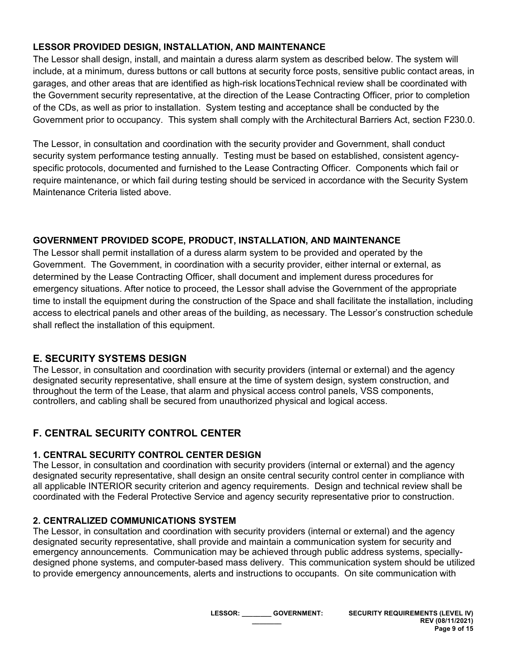## **LESSOR PROVIDED DESIGN, INSTALLATION, AND MAINTENANCE**

The Lessor shall design, install, and maintain a duress alarm system as described below. The system will include, at a minimum, duress buttons or call buttons at security force posts, sensitive public contact areas, in garages, and other areas that are identified as high-risk locationsTechnical review shall be coordinated with the Government security representative, at the direction of the Lease Contracting Officer, prior to completion of the CDs, as well as prior to installation. System testing and acceptance shall be conducted by the Government prior to occupancy. This system shall comply with the Architectural Barriers Act, section F230.0.

The Lessor, in consultation and coordination with the security provider and Government, shall conduct security system performance testing annually. Testing must be based on established, consistent agencyspecific protocols, documented and furnished to the Lease Contracting Officer. Components which fail or require maintenance, or which fail during testing should be serviced in accordance with the Security System Maintenance Criteria listed above.

## **GOVERNMENT PROVIDED SCOPE, PRODUCT, INSTALLATION, AND MAINTENANCE**

The Lessor shall permit installation of a duress alarm system to be provided and operated by the Government. The Government, in coordination with a security provider, either internal or external, as determined by the Lease Contracting Officer, shall document and implement duress procedures for emergency situations. After notice to proceed, the Lessor shall advise the Government of the appropriate time to install the equipment during the construction of the Space and shall facilitate the installation, including access to electrical panels and other areas of the building, as necessary. The Lessor's construction schedule shall reflect the installation of this equipment.

# **E. SECURITY SYSTEMS DESIGN**

The Lessor, in consultation and coordination with security providers (internal or external) and the agency designated security representative, shall ensure at the time of system design, system construction, and throughout the term of the Lease, that alarm and physical access control panels, VSS components, controllers, and cabling shall be secured from unauthorized physical and logical access.

# **F. CENTRAL SECURITY CONTROL CENTER**

## **1. CENTRAL SECURITY CONTROL CENTER DESIGN**

The Lessor, in consultation and coordination with security providers (internal or external) and the agency designated security representative, shall design an onsite central security control center in compliance with all applicable INTERIOR security criterion and agency requirements. Design and technical review shall be coordinated with the Federal Protective Service and agency security representative prior to construction.

## **2. CENTRALIZED COMMUNICATIONS SYSTEM**

The Lessor, in consultation and coordination with security providers (internal or external) and the agency designated security representative, shall provide and maintain a communication system for security and emergency announcements. Communication may be achieved through public address systems, speciallydesigned phone systems, and computer-based mass delivery. This communication system should be utilized to provide emergency announcements, alerts and instructions to occupants. On site communication with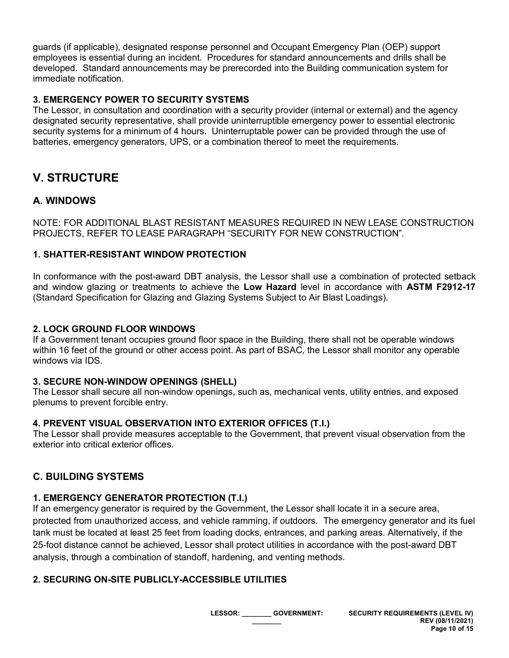guards (if applicable), designated response personnel and Occupant Emergency Plan (OEP) support employees is essential during an incident. Procedures for standard announcements and drills shall be developed. Standard announcements may be prerecorded into the Building communication system for immediate notification.

#### **3. EMERGENCY POWER TO SECURITY SYSTEMS**

The Lessor, in consultation and coordination with a security provider (internal or external) and the agency designated security representative, shall provide uninterruptible emergency power to essential electronic security systems for a minimum of 4 hours. Uninterruptable power can be provided through the use of batteries, emergency generators, UPS, or a combination thereof to meet the requirements.

# **V. STRUCTURE**

## **A. WINDOWS**

NOTE: FOR ADDITIONAL BLAST RESISTANT MEASURES REQUIRED IN NEW LEASE CONSTRUCTION PROJECTS, REFER TO LEASE PARAGRAPH "SECURITY FOR NEW CONSTRUCTION".

#### **1. SHATTER-RESISTANT WINDOW PROTECTION**

In conformance with the post-award DBT analysis, the Lessor shall use a combination of protected setback and window glazing or treatments to achieve the **Low Hazard** level in accordance with **ASTM F2912-17** (Standard Specification for Glazing and Glazing Systems Subject to Air Blast Loadings).

#### **2. LOCK GROUND FLOOR WINDOWS**

If a Government tenant occupies ground floor space in the Building, there shall not be operable windows within 16 feet of the ground or other access point. As part of BSAC, the Lessor shall monitor any operable windows via IDS.

#### **3. SECURE NON-WINDOW OPENINGS (SHELL)**

The Lessor shall secure all non-window openings, such as, mechanical vents, utility entries, and exposed plenums to prevent forcible entry.

#### **4. PREVENT VISUAL OBSERVATION INTO EXTERIOR OFFICES (T.I.)**

The Lessor shall provide measures acceptable to the Government, that prevent visual observation from the exterior into critical exterior offices.

# **C. BUILDING SYSTEMS**

## **1. EMERGENCY GENERATOR PROTECTION (T.I.)**

If an emergency generator is required by the Government, the Lessor shall locate it in a secure area, protected from unauthorized access, and vehicle ramming, if outdoors. The emergency generator and its fuel tank must be located at least 25 feet from loading docks, entrances, and parking areas. Alternatively, if the 25-foot distance cannot be achieved, Lessor shall protect utilities in accordance with the post-award DBT analysis, through a combination of standoff, hardening, and venting methods.

## **2. SECURING ON-SITE PUBLICLY-ACCESSIBLE UTILITIES**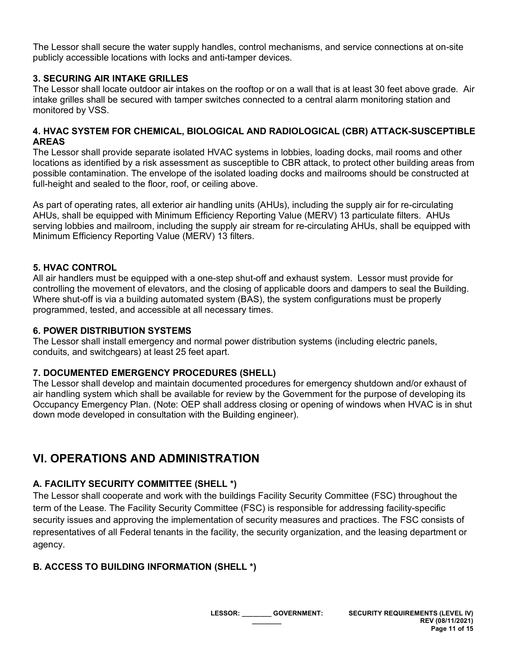The Lessor shall secure the water supply handles, control mechanisms, and service connections at on-site publicly accessible locations with locks and anti-tamper devices.

#### **3. SECURING AIR INTAKE GRILLES**

The Lessor shall locate outdoor air intakes on the rooftop or on a wall that is at least 30 feet above grade. Air intake grilles shall be secured with tamper switches connected to a central alarm monitoring station and monitored by VSS.

#### **4. HVAC SYSTEM FOR CHEMICAL, BIOLOGICAL AND RADIOLOGICAL (CBR) ATTACK-SUSCEPTIBLE AREAS**

The Lessor shall provide separate isolated HVAC systems in lobbies, loading docks, mail rooms and other locations as identified by a risk assessment as susceptible to CBR attack, to protect other building areas from possible contamination. The envelope of the isolated loading docks and mailrooms should be constructed at full-height and sealed to the floor, roof, or ceiling above.

As part of operating rates, all exterior air handling units (AHUs), including the supply air for re-circulating AHUs, shall be equipped with Minimum Efficiency Reporting Value (MERV) 13 particulate filters. AHUs serving lobbies and mailroom, including the supply air stream for re-circulating AHUs, shall be equipped with Minimum Efficiency Reporting Value (MERV) 13 filters.

#### **5. HVAC CONTROL**

All air handlers must be equipped with a one-step shut-off and exhaust system. Lessor must provide for controlling the movement of elevators, and the closing of applicable doors and dampers to seal the Building. Where shut-off is via a building automated system (BAS), the system configurations must be properly programmed, tested, and accessible at all necessary times.

#### **6. POWER DISTRIBUTION SYSTEMS**

The Lessor shall install emergency and normal power distribution systems (including electric panels, conduits, and switchgears) at least 25 feet apart.

#### **7. DOCUMENTED EMERGENCY PROCEDURES (SHELL)**

The Lessor shall develop and maintain documented procedures for emergency shutdown and/or exhaust of air handling system which shall be available for review by the Government for the purpose of developing its Occupancy Emergency Plan. (Note: OEP shall address closing or opening of windows when HVAC is in shut down mode developed in consultation with the Building engineer).

# **VI. OPERATIONS AND ADMINISTRATION**

## **A. FACILITY SECURITY COMMITTEE (SHELL \*)**

The Lessor shall cooperate and work with the buildings Facility Security Committee (FSC) throughout the term of the Lease. The Facility Security Committee (FSC) is responsible for addressing facility-specific security issues and approving the implementation of security measures and practices. The FSC consists of representatives of all Federal tenants in the facility, the security organization, and the leasing department or agency.

## **B. ACCESS TO BUILDING INFORMATION (SHELL \*)**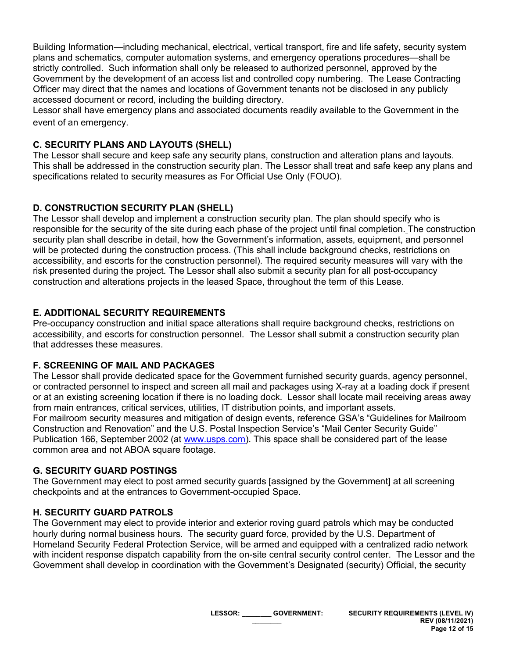Building Information—including mechanical, electrical, vertical transport, fire and life safety, security system plans and schematics, computer automation systems, and emergency operations procedures—shall be strictly controlled. Such information shall only be released to authorized personnel, approved by the Government by the development of an access list and controlled copy numbering. The Lease Contracting Officer may direct that the names and locations of Government tenants not be disclosed in any publicly accessed document or record, including the building directory.

Lessor shall have emergency plans and associated documents readily available to the Government in the event of an emergency.

## **C. SECURITY PLANS AND LAYOUTS (SHELL)**

The Lessor shall secure and keep safe any security plans, construction and alteration plans and layouts. This shall be addressed in the construction security plan. The Lessor shall treat and safe keep any plans and specifications related to security measures as For Official Use Only (FOUO).

## **D. CONSTRUCTION SECURITY PLAN (SHELL)**

The Lessor shall develop and implement a construction security plan. The plan should specify who is responsible for the security of the site during each phase of the project until final completion. The construction security plan shall describe in detail, how the Government's information, assets, equipment, and personnel will be protected during the construction process. (This shall include background checks, restrictions on accessibility, and escorts for the construction personnel). The required security measures will vary with the risk presented during the project. The Lessor shall also submit a security plan for all post-occupancy construction and alterations projects in the leased Space, throughout the term of this Lease.

## **E. ADDITIONAL SECURITY REQUIREMENTS**

Pre-occupancy construction and initial space alterations shall require background checks, restrictions on accessibility, and escorts for construction personnel. The Lessor shall submit a construction security plan that addresses these measures.

## **F. SCREENING OF MAIL AND PACKAGES**

The Lessor shall provide dedicated space for the Government furnished security guards, agency personnel, or contracted personnel to inspect and screen all mail and packages using X-ray at a loading dock if present or at an existing screening location if there is no loading dock. Lessor shall locate mail receiving areas away from main entrances, critical services, utilities, IT distribution points, and important assets. For mailroom security measures and mitigation of design events, reference GSA's "Guidelines for Mailroom Construction and Renovation" and the U.S. Postal Inspection Service's "Mail Center Security Guide" Publication 166, September 2002 (at [www.usps.com\)](http://www.usps.com/). This space shall be considered part of the lease common area and not ABOA square footage.

# **G. SECURITY GUARD POSTINGS**

The Government may elect to post armed security guards [assigned by the Government] at all screening checkpoints and at the entrances to Government-occupied Space.

## **H. SECURITY GUARD PATROLS**

The Government may elect to provide interior and exterior roving guard patrols which may be conducted hourly during normal business hours. The security guard force, provided by the U.S. Department of Homeland Security Federal Protection Service, will be armed and equipped with a centralized radio network with incident response dispatch capability from the on-site central security control center. The Lessor and the Government shall develop in coordination with the Government's Designated (security) Official, the security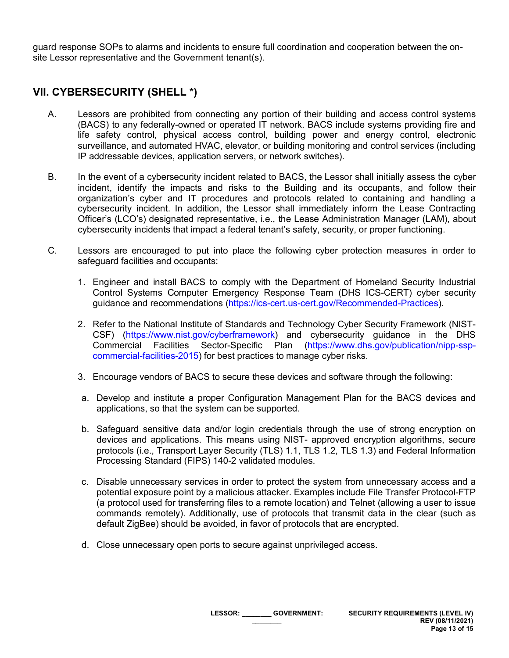guard response SOPs to alarms and incidents to ensure full coordination and cooperation between the onsite Lessor representative and the Government tenant(s).

# **VII. CYBERSECURITY (SHELL \*)**

- A. Lessors are prohibited from connecting any portion of their building and access control systems (BACS) to any federally-owned or operated IT network. BACS include systems providing fire and life safety control, physical access control, building power and energy control, electronic surveillance, and automated HVAC, elevator, or building monitoring and control services (including IP addressable devices, application servers, or network switches).
- B. In the event of a cybersecurity incident related to BACS, the Lessor shall initially assess the cyber incident, identify the impacts and risks to the Building and its occupants, and follow their organization's cyber and IT procedures and protocols related to containing and handling a cybersecurity incident. In addition, the Lessor shall immediately inform the Lease Contracting Officer's (LCO's) designated representative, i.e., the Lease Administration Manager (LAM), about cybersecurity incidents that impact a federal tenant's safety, security, or proper functioning.
- C. Lessors are encouraged to put into place the following cyber protection measures in order to safeguard facilities and occupants:
	- 1. Engineer and install BACS to comply with the Department of Homeland Security Industrial Control Systems Computer Emergency Response Team (DHS ICS-CERT) cyber security guidance and recommendations [\(https://ics-cert.us-cert.gov/Recommended-Practices\)](https://ics-cert.us-cert.gov/Recommended-Practices).
	- 2. Refer to the National Institute of Standards and Technology Cyber Security Framework (NIST-CSF) [\(https://www.nist.gov/cyberframework\)](https://www.nist.gov/cyberframework) and cybersecurity guidance in the DHS Commercial Facilities Sector-Specific Plan [\(https://www.dhs.gov/publication/nipp-ssp](https://www.dhs.gov/publication/nipp-ssp-commercial-facilities-2015)[commercial-facilities-2015\)](https://www.dhs.gov/publication/nipp-ssp-commercial-facilities-2015) for best practices to manage cyber risks.
	- 3. Encourage vendors of BACS to secure these devices and software through the following:
	- a. Develop and institute a proper Configuration Management Plan for the BACS devices and applications, so that the system can be supported.
	- b. Safeguard sensitive data and/or login credentials through the use of strong encryption on devices and applications. This means using NIST- approved encryption algorithms, secure protocols (i.e., Transport Layer Security (TLS) 1.1, TLS 1.2, TLS 1.3) and Federal Information Processing Standard (FIPS) 140-2 validated modules.
	- c. Disable unnecessary services in order to protect the system from unnecessary access and a potential exposure point by a malicious attacker. Examples include File Transfer Protocol-FTP (a protocol used for transferring files to a remote location) and Telnet (allowing a user to issue commands remotely). Additionally, use of protocols that transmit data in the clear (such as default ZigBee) should be avoided, in favor of protocols that are encrypted.
	- d. Close unnecessary open ports to secure against unprivileged access.